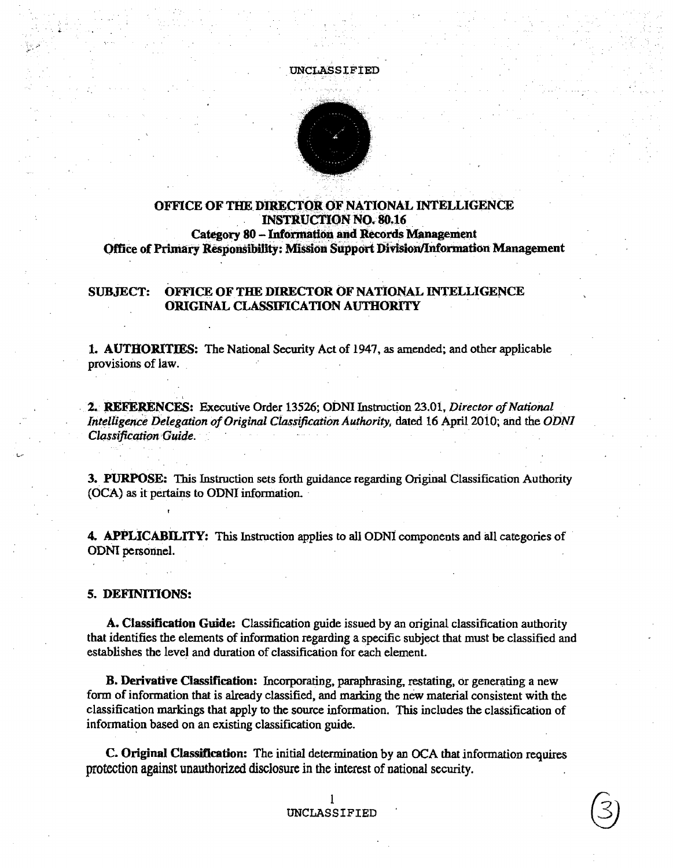

# OFFICE OF THE DIRECTOR OF NATIONAL INTELLIGENCE **INSTRUCTION NO. 80.16 Category 80 - Information and Records Management Office of Primary Responsibility: Mission Support Division/Information Management**

#### OFFICE OF THE DIRECTOR OF NATIONAL INTELLIGENCE **SUBJECT: ORIGINAL CLASSIFICATION AUTHORITY**

**1. AUTHORITIES:** The National Security Act of 1947, as amended; and other applicable provisions of law.

2. REFERENCES: Executive Order 13526; ODNI Instruction 23.01, Director of National Intelligence Delegation of Original Classification Authority, dated 16 April 2010; and the ODNI **Classification Guide.** 

3. PURPOSE: This Instruction sets forth guidance regarding Original Classification Authority (OCA) as it pertains to ODNI information.

**4. APPLICABILITY:** This Instruction applies to all ODNI components and all categories of ODNI personnel.

5. DEFINITIONS:

A. Classification Guide: Classification guide issued by an original classification authority that identifies the elements of information regarding a specific subject that must be classified and establishes the level and duration of classification for each element.

**B. Derivative Classification:** Incorporating, paraphrasing, restating, or generating a new form of information that is already classified, and marking the new material consistent with the classification markings that apply to the source information. This includes the classification of information based on an existing classification guide.

C. Original Classification: The initial determination by an OCA that information requires protection against unauthorized disclosure in the interest of national security.

### L UNCLASSIFIED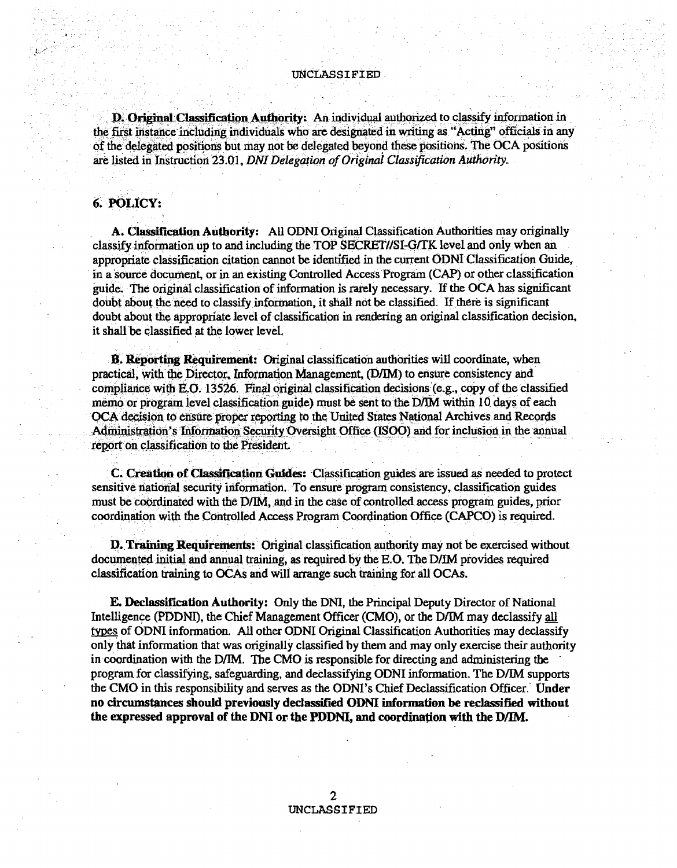### UNCLASSIFIED

D. Original Classification Authority: An individual authorized to classify information in the first instance including individuals who are designated in writing as "Acting" officials in any of the delegated positions but may not be delegated beyond these positions. The OCA positions are listed in Instruction 23.01, DNI Delegation of Original Classification Authority.

# 6. POLICY:

A. Classification Authority: All ODNI Original Classification Authorities may originally classify information up to and including the TOP SECRET//SI-G/TK level and only when an appropriate classification citation cannot be identified in the current ODNI Classification Guide, in a source document, or in an existing Controlled Access Program (CAP) or other classification guide. The original classification of information is rarely necessary. If the OCA has significant doubt about the need to classify information, it shall not be classified. If there is significant doubt about the appropriate level of classification in rendering an original classification decision, it shall be classified at the lower level.

B. Reporting Requirement: Original classification authorities will coordinate, when practical, with the Director, Information Management, (D/IM) to ensure consistency and compliance with E.O. 13526. Final original classification decisions (e.g., copy of the classified memo or program level classification guide) must be sent to the D/IM within 10 days of each OCA decision to ensure proper reporting to the United States National Archives and Records Administration's Information Security Oversight Office (ISOO) and for inclusion in the annual report on classification to the President.

C. Creation of Classification Guides: Classification guides are issued as needed to protect sensitive national security information. To ensure program consistency, classification guides must be coordinated with the D/IM, and in the case of controlled access program guides, prior coordination with the Controlled Access Program Coordination Office (CAPCO) is required.

**D. Training Requirements:** Original classification authority may not be exercised without documented initial and annual training, as required by the E.O. The D/IM provides required classification training to OCAs and will arrange such training for all OCAs.

**E. Declassification Authority:** Only the DNI, the Principal Deputy Director of National Intelligence (PDDNI), the Chief Management Officer (CMO), or the D/IM may declassify all types of ODNI information. All other ODNI Original Classification Authorities may declassify only that information that was originally classified by them and may only exercise their authority in coordination with the D/IM. The CMO is responsible for directing and administering the program for classifying, safeguarding, and declassifying ODNI information. The D/IM supports the CMO in this responsibility and serves as the ODNI's Chief Declassification Officer. Under no circumstances should previously declassified ODNI information be reclassified without the expressed approval of the DNI or the PDDNI, and coordination with the D/IM.